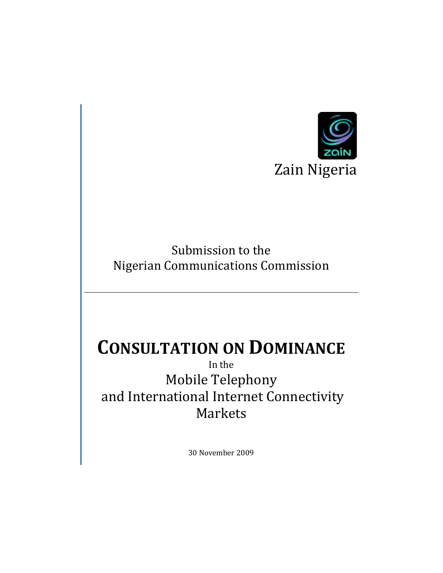

Submission to the Nigerian Communications Commission

# **CONSULTATION ON DOMINANCE**

In the Mobile Telephony and International Internet Connectivity Markets

30 November 2009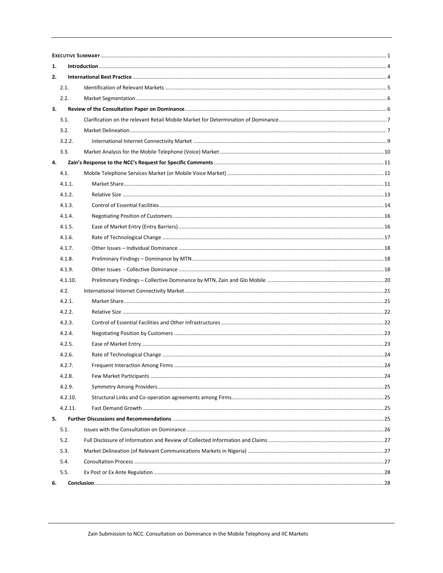| 1. |         |  |  |  |  |  |  |  |  |
|----|---------|--|--|--|--|--|--|--|--|
| 2. |         |  |  |  |  |  |  |  |  |
|    | 2.1.    |  |  |  |  |  |  |  |  |
|    | 2.2.    |  |  |  |  |  |  |  |  |
| 3. |         |  |  |  |  |  |  |  |  |
|    | 3.1.    |  |  |  |  |  |  |  |  |
|    | 3.2.    |  |  |  |  |  |  |  |  |
|    | 3.2.2.  |  |  |  |  |  |  |  |  |
|    | 3.3.    |  |  |  |  |  |  |  |  |
| 4. |         |  |  |  |  |  |  |  |  |
|    | 4.1.    |  |  |  |  |  |  |  |  |
|    | 4.1.1.  |  |  |  |  |  |  |  |  |
|    | 4.1.2.  |  |  |  |  |  |  |  |  |
|    | 4.1.3.  |  |  |  |  |  |  |  |  |
|    | 4.1.4.  |  |  |  |  |  |  |  |  |
|    | 4.1.5.  |  |  |  |  |  |  |  |  |
|    | 4.1.6.  |  |  |  |  |  |  |  |  |
|    | 4.1.7.  |  |  |  |  |  |  |  |  |
|    | 4.1.8.  |  |  |  |  |  |  |  |  |
|    | 4.1.9.  |  |  |  |  |  |  |  |  |
|    | 4.1.10. |  |  |  |  |  |  |  |  |
|    | 4.2.    |  |  |  |  |  |  |  |  |
|    | 4.2.1.  |  |  |  |  |  |  |  |  |
|    | 4.2.2.  |  |  |  |  |  |  |  |  |
|    | 4.2.3.  |  |  |  |  |  |  |  |  |
|    | 4.2.4.  |  |  |  |  |  |  |  |  |
|    | 4.2.5.  |  |  |  |  |  |  |  |  |
|    | 4.2.6.  |  |  |  |  |  |  |  |  |
|    | 4.2.7.  |  |  |  |  |  |  |  |  |
|    | 4.2.8.  |  |  |  |  |  |  |  |  |
|    | 4.2.9.  |  |  |  |  |  |  |  |  |
|    | 4.2.10. |  |  |  |  |  |  |  |  |
|    | 4.2.11. |  |  |  |  |  |  |  |  |
| 5. |         |  |  |  |  |  |  |  |  |
|    | 5.1.    |  |  |  |  |  |  |  |  |
|    | 5.2.    |  |  |  |  |  |  |  |  |
|    | 5.3.    |  |  |  |  |  |  |  |  |
|    | 5.4.    |  |  |  |  |  |  |  |  |
|    | 5.5.    |  |  |  |  |  |  |  |  |
| 6. |         |  |  |  |  |  |  |  |  |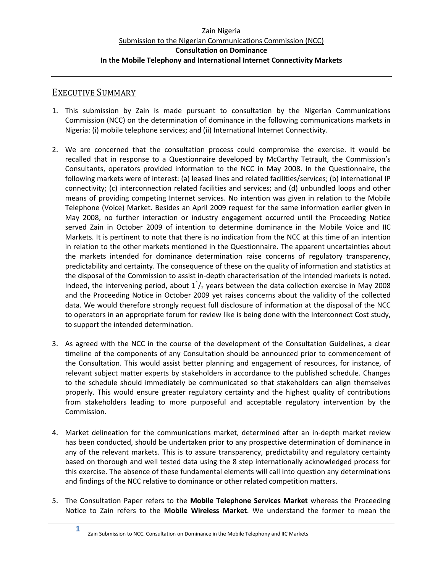# <span id="page-4-0"></span>EXECUTIVE SUMMARY

- 1. This submission by Zain is made pursuant to consultation by the Nigerian Communications Commission (NCC) on the determination of dominance in the following communications markets in Nigeria: (i) mobile telephone services; and (ii) International Internet Connectivity.
- 2. We are concerned that the consultation process could compromise the exercise. It would be recalled that in response to a Questionnaire developed by McCarthy Tetrault, the Commission's Consultants, operators provided information to the NCC in May 2008. In the Questionnaire, the following markets were of interest: (a) leased lines and related facilities/services; (b) international IP connectivity; (c) interconnection related facilities and services; and (d) unbundled loops and other means of providing competing Internet services. No intention was given in relation to the Mobile Telephone (Voice) Market. Besides an April 2009 request for the same information earlier given in May 2008, no further interaction or industry engagement occurred until the Proceeding Notice served Zain in October 2009 of intention to determine dominance in the Mobile Voice and IIC Markets. It is pertinent to note that there is no indication from the NCC at this time of an intention in relation to the other markets mentioned in the Questionnaire. The apparent uncertainties about the markets intended for dominance determination raise concerns of regulatory transparency, predictability and certainty. The consequence of these on the quality of information and statistics at the disposal of the Commission to assist in-depth characterisation of the intended markets is noted. Indeed, the intervening period, about  $1^{1}/_{2}$  years between the data collection exercise in May 2008 and the Proceeding Notice in October 2009 yet raises concerns about the validity of the collected data. We would therefore strongly request full disclosure of information at the disposal of the NCC to operators in an appropriate forum for review like is being done with the Interconnect Cost study, to support the intended determination.
- 3. As agreed with the NCC in the course of the development of the Consultation Guidelines, a clear timeline of the components of any Consultation should be announced prior to commencement of the Consultation. This would assist better planning and engagement of resources, for instance, of relevant subject matter experts by stakeholders in accordance to the published schedule. Changes to the schedule should immediately be communicated so that stakeholders can align themselves properly. This would ensure greater regulatory certainty and the highest quality of contributions from stakeholders leading to more purposeful and acceptable regulatory intervention by the Commission.
- 4. Market delineation for the communications market, determined after an in-depth market review has been conducted, should be undertaken prior to any prospective determination of dominance in any of the relevant markets. This is to assure transparency, predictability and regulatory certainty based on thorough and well tested data using the 8 step internationally acknowledged process for this exercise. The absence of these fundamental elements will call into question any determinations and findings of the NCC relative to dominance or other related competition matters.
- 5. The Consultation Paper refers to the **Mobile Telephone Services Market** whereas the Proceeding Notice to Zain refers to the **Mobile Wireless Market**. We understand the former to mean the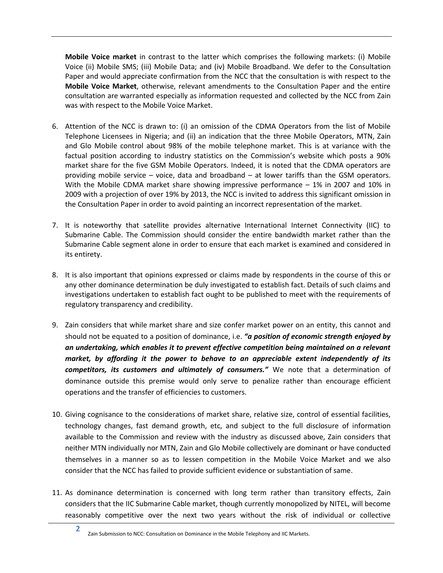**Mobile Voice market** in contrast to the latter which comprises the following markets: (i) Mobile Voice (ii) Mobile SMS; (iii) Mobile Data; and (iv) Mobile Broadband. We defer to the Consultation Paper and would appreciate confirmation from the NCC that the consultation is with respect to the **Mobile Voice Market**, otherwise, relevant amendments to the Consultation Paper and the entire consultation are warranted especially as information requested and collected by the NCC from Zain was with respect to the Mobile Voice Market.

- 6. Attention of the NCC is drawn to: (i) an omission of the CDMA Operators from the list of Mobile Telephone Licensees in Nigeria; and (ii) an indication that the three Mobile Operators, MTN, Zain and Glo Mobile control about 98% of the mobile telephone market. This is at variance with the factual position according to industry statistics on the Commission's website which posts a 90% market share for the five GSM Mobile Operators. Indeed, it is noted that the CDMA operators are providing mobile service – voice, data and broadband – at lower tariffs than the GSM operators. With the Mobile CDMA market share showing impressive performance – 1% in 2007 and 10% in 2009 with a projection of over 19% by 2013, the NCC is invited to address this significant omission in the Consultation Paper in order to avoid painting an incorrect representation of the market.
- 7. It is noteworthy that satellite provides alternative International Internet Connectivity (IIC) to Submarine Cable. The Commission should consider the entire bandwidth market rather than the Submarine Cable segment alone in order to ensure that each market is examined and considered in its entirety.
- 8. It is also important that opinions expressed or claims made by respondents in the course of this or any other dominance determination be duly investigated to establish fact. Details of such claims and investigations undertaken to establish fact ought to be published to meet with the requirements of regulatory transparency and credibility.
- 9. Zain considers that while market share and size confer market power on an entity, this cannot and should not be equated to a position of dominance, i.e. *"a position of economic strength enjoyed by an undertaking, which enables it to prevent effective competition being maintained on a relevant market, by affording it the power to behave to an appreciable extent independently of its competitors, its customers and ultimately of consumers."* We note that a determination of dominance outside this premise would only serve to penalize rather than encourage efficient operations and the transfer of efficiencies to customers.
- 10. Giving cognisance to the considerations of market share, relative size, control of essential facilities, technology changes, fast demand growth, etc, and subject to the full disclosure of information available to the Commission and review with the industry as discussed above, Zain considers that neither MTN individually nor MTN, Zain and Glo Mobile collectively are dominant or have conducted themselves in a manner so as to lessen competition in the Mobile Voice Market and we also consider that the NCC has failed to provide sufficient evidence or substantiation of same.
- 11. As dominance determination is concerned with long term rather than transitory effects, Zain considers that the IIC Submarine Cable market, though currently monopolized by NITEL, will become reasonably competitive over the next two years without the risk of individual or collective
	- **2** Zain Submission to NCC: Consultation on Dominance in the Mobile Telephony and IIC Markets.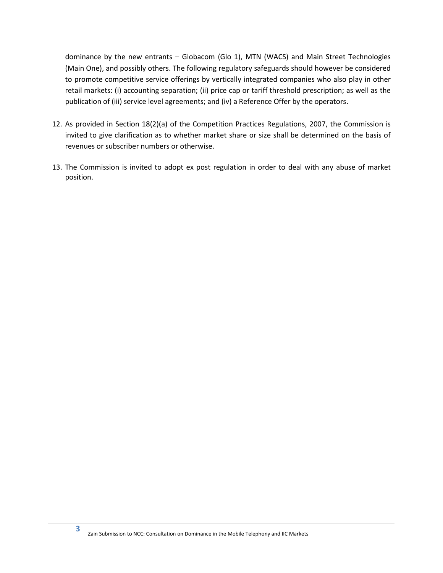dominance by the new entrants – Globacom (Glo 1), MTN (WACS) and Main Street Technologies (Main One), and possibly others. The following regulatory safeguards should however be considered to promote competitive service offerings by vertically integrated companies who also play in other retail markets: (i) accounting separation; (ii) price cap or tariff threshold prescription; as well as the publication of (iii) service level agreements; and (iv) a Reference Offer by the operators.

- 12. As provided in Section 18(2)(a) of the Competition Practices Regulations, 2007, the Commission is invited to give clarification as to whether market share or size shall be determined on the basis of revenues or subscriber numbers or otherwise.
- 13. The Commission is invited to adopt ex post regulation in order to deal with any abuse of market position.

**3**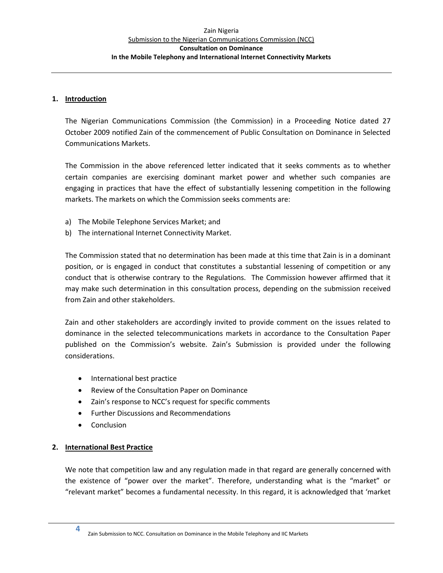## <span id="page-7-0"></span>**1. Introduction**

The Nigerian Communications Commission (the Commission) in a Proceeding Notice dated 27 October 2009 notified Zain of the commencement of Public Consultation on Dominance in Selected Communications Markets.

The Commission in the above referenced letter indicated that it seeks comments as to whether certain companies are exercising dominant market power and whether such companies are engaging in practices that have the effect of substantially lessening competition in the following markets. The markets on which the Commission seeks comments are:

- a) The Mobile Telephone Services Market; and
- b) The international Internet Connectivity Market.

The Commission stated that no determination has been made at this time that Zain is in a dominant position, or is engaged in conduct that constitutes a substantial lessening of competition or any conduct that is otherwise contrary to the Regulations. The Commission however affirmed that it may make such determination in this consultation process, depending on the submission received from Zain and other stakeholders.

Zain and other stakeholders are accordingly invited to provide comment on the issues related to dominance in the selected telecommunications markets in accordance to the Consultation Paper published on the Commission's website. Zain's Submission is provided under the following considerations.

- International best practice
- Review of the Consultation Paper on Dominance
- Zain's response to NCC's request for specific comments
- Further Discussions and Recommendations
- Conclusion

# <span id="page-7-1"></span>**2. International Best Practice**

We note that competition law and any regulation made in that regard are generally concerned with the existence of "power over the market". Therefore, understanding what is the "market" or "relevant market" becomes a fundamental necessity. In this regard, it is acknowledged that 'market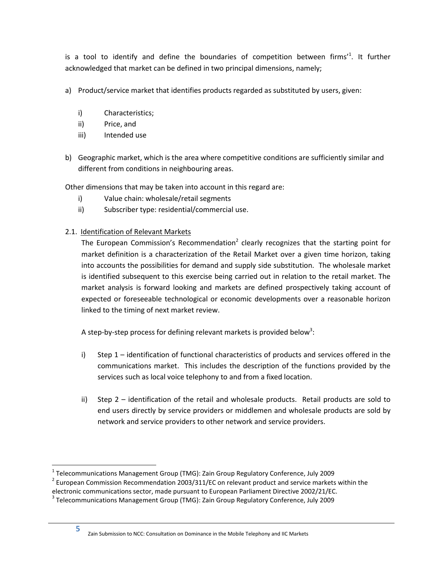is a tool to identify and define the boundaries of competition between firms<sup>1</sup>. It further acknowledged that market can be defined in two principal dimensions, namely;

- a) Product/service market that identifies products regarded as substituted by users, given:
	- i) Characteristics;
	- ii) Price, and
	- iii) Intended use
- b) Geographic market, which is the area where competitive conditions are sufficiently similar and different from conditions in neighbouring areas.

Other dimensions that may be taken into account in this regard are:

- i) Value chain: wholesale/retail segments
- ii) Subscriber type: residential/commercial use.
- <span id="page-8-0"></span>2.1. Identification of Relevant Markets

The European Commission's Recommendation<sup>2</sup> clearly recognizes that the starting point for market definition is a characterization of the Retail Market over a given time horizon, taking into accounts the possibilities for demand and supply side substitution. The wholesale market is identified subsequent to this exercise being carried out in relation to the retail market. The market analysis is forward looking and markets are defined prospectively taking account of expected or foreseeable technological or economic developments over a reasonable horizon linked to the timing of next market review.

A step-by-step process for defining relevant markets is provided below<sup>3</sup>:

- i) Step 1 identification of functional characteristics of products and services offered in the communications market. This includes the description of the functions provided by the services such as local voice telephony to and from a fixed location.
- ii) Step 2 identification of the retail and wholesale products. Retail products are sold to end users directly by service providers or middlemen and wholesale products are sold by network and service providers to other network and service providers.

Zain Submission to NCC: Consultation on Dominance in the Mobile Telephony and IIC Markets

 $\overline{\phantom{a}}$ 

<sup>&</sup>lt;sup>1</sup> Telecommunications Management Group (TMG): Zain Group Regulatory Conference, July 2009

 $^{2}$  European Commission Recommendation 2003/311/EC on relevant product and service markets within the

electronic communications sector, made pursuant to European Parliament Directive 2002/21/EC.

<sup>&</sup>lt;sup>3</sup> Telecommunications Management Group (TMG): Zain Group Regulatory Conference, July 2009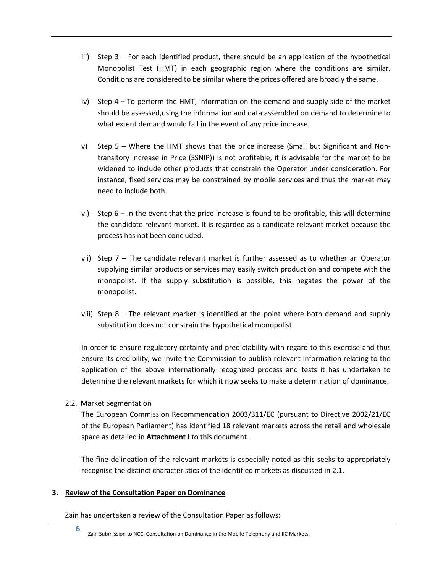- iii) Step 3 For each identified product, there should be an application of the hypothetical Monopolist Test (HMT) in each geographic region where the conditions are similar. Conditions are considered to be similar where the prices offered are broadly the same.
- iv) Step 4 To perform the HMT, information on the demand and supply side of the market should be assessed,using the information and data assembled on demand to determine to what extent demand would fall in the event of any price increase.
- v) Step 5 Where the HMT shows that the price increase (Small but Significant and Nontransitory Increase in Price (SSNIP)) is not profitable, it is advisable for the market to be widened to include other products that constrain the Operator under consideration. For instance, fixed services may be constrained by mobile services and thus the market may need to include both.
- vi) Step  $6 \ln$  the event that the price increase is found to be profitable, this will determine the candidate relevant market. It is regarded as a candidate relevant market because the process has not been concluded.
- vii) Step  $7$  The candidate relevant market is further assessed as to whether an Operator supplying similar products or services may easily switch production and compete with the monopolist. If the supply substitution is possible, this negates the power of the monopolist.
- viii) Step  $8$  The relevant market is identified at the point where both demand and supply substitution does not constrain the hypothetical monopolist.

In order to ensure regulatory certainty and predictability with regard to this exercise and thus ensure its credibility, we invite the Commission to publish relevant information relating to the application of the above internationally recognized process and tests it has undertaken to determine the relevant markets for which it now seeks to make a determination of dominance.

# <span id="page-9-0"></span>2.2. Market Segmentation

**6**

The European Commission Recommendation 2003/311/EC (pursuant to Directive 2002/21/EC of the European Parliament) has identified 18 relevant markets across the retail and wholesale space as detailed in **Attachment I** to this document.

The fine delineation of the relevant markets is especially noted as this seeks to appropriately recognise the distinct characteristics of the identified markets as discussed in [2.1.](#page-8-0)

# <span id="page-9-1"></span>**3. Review of the Consultation Paper on Dominance**

Zain has undertaken a review of the Consultation Paper as follows:

Zain Submission to NCC: Consultation on Dominance in the Mobile Telephony and IIC Markets.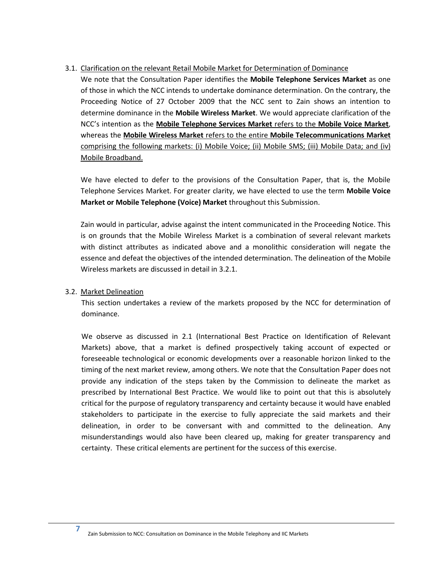# <span id="page-10-0"></span>3.1. Clarification on the relevant Retail Mobile Market for Determination of Dominance

We note that the Consultation Paper identifies the **Mobile Telephone Services Market** as one of those in which the NCC intends to undertake dominance determination. On the contrary, the Proceeding Notice of 27 October 2009 that the NCC sent to Zain shows an intention to determine dominance in the **Mobile Wireless Market**. We would appreciate clarification of the NCC's intention as the **Mobile Telephone Services Market** refers to the **Mobile Voice Market**, whereas the **Mobile Wireless Market** refers to the entire **Mobile Telecommunications Market** comprising the following markets: (i) Mobile Voice; (ii) Mobile SMS; (iii) Mobile Data; and (iv) Mobile Broadband.

We have elected to defer to the provisions of the Consultation Paper, that is, the Mobile Telephone Services Market. For greater clarity, we have elected to use the term **Mobile Voice Market or Mobile Telephone (Voice) Market** throughout this Submission.

Zain would in particular, advise against the intent communicated in the Proceeding Notice. This is on grounds that the Mobile Wireless Market is a combination of several relevant markets with distinct attributes as indicated above and a monolithic consideration will negate the essence and defeat the objectives of the intended determination. The delineation of the Mobile Wireless markets are discussed in detail in [3.2.1.](#page-11-0)

# <span id="page-10-1"></span>3.2. Market Delineation

**7**

This section undertakes a review of the markets proposed by the NCC for determination of dominance.

We observe as discussed in [2.1](#page-8-0) (International Best Practice on Identification of Relevant Markets) above, that a market is defined prospectively taking account of expected or foreseeable technological or economic developments over a reasonable horizon linked to the timing of the next market review, among others. We note that the Consultation Paper does not provide any indication of the steps taken by the Commission to delineate the market as prescribed by International Best Practice. We would like to point out that this is absolutely critical for the purpose of regulatory transparency and certainty because it would have enabled stakeholders to participate in the exercise to fully appreciate the said markets and their delineation, in order to be conversant with and committed to the delineation. Any misunderstandings would also have been cleared up, making for greater transparency and certainty. These critical elements are pertinent for the success of this exercise.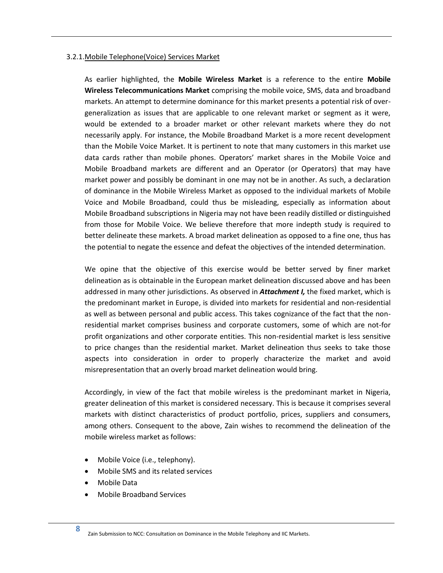#### <span id="page-11-0"></span>3.2.1.Mobile Telephone(Voice) Services Market

As earlier highlighted, the **Mobile Wireless Market** is a reference to the entire **Mobile Wireless Telecommunications Market** comprising the mobile voice, SMS, data and broadband markets. An attempt to determine dominance for this market presents a potential risk of overgeneralization as issues that are applicable to one relevant market or segment as it were, would be extended to a broader market or other relevant markets where they do not necessarily apply. For instance, the Mobile Broadband Market is a more recent development than the Mobile Voice Market. It is pertinent to note that many customers in this market use data cards rather than mobile phones. Operators' market shares in the Mobile Voice and Mobile Broadband markets are different and an Operator (or Operators) that may have market power and possibly be dominant in one may not be in another. As such, a declaration of dominance in the Mobile Wireless Market as opposed to the individual markets of Mobile Voice and Mobile Broadband, could thus be misleading, especially as information about Mobile Broadband subscriptions in Nigeria may not have been readily distilled or distinguished from those for Mobile Voice. We believe therefore that more indepth study is required to better delineate these markets. A broad market delineation as opposed to a fine one, thus has the potential to negate the essence and defeat the objectives of the intended determination.

We opine that the objective of this exercise would be better served by finer market delineation as is obtainable in the European market delineation discussed above and has been addressed in many other jurisdictions. As observed in *Attachment I,* the fixed market, which is the predominant market in Europe, is divided into markets for residential and non-residential as well as between personal and public access. This takes cognizance of the fact that the nonresidential market comprises business and corporate customers, some of which are not-for profit organizations and other corporate entities. This non-residential market is less sensitive to price changes than the residential market. Market delineation thus seeks to take those aspects into consideration in order to properly characterize the market and avoid misrepresentation that an overly broad market delineation would bring.

Accordingly, in view of the fact that mobile wireless is the predominant market in Nigeria, greater delineation of this market is considered necessary. This is because it comprises several markets with distinct characteristics of product portfolio, prices, suppliers and consumers, among others. Consequent to the above, Zain wishes to recommend the delineation of the mobile wireless market as follows:

- Mobile Voice (i.e., telephony).
- Mobile SMS and its related services
- Mobile Data
- Mobile Broadband Services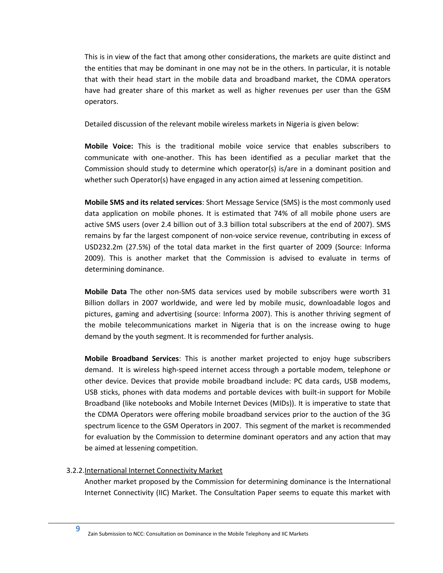This is in view of the fact that among other considerations, the markets are quite distinct and the entities that may be dominant in one may not be in the others. In particular, it is notable that with their head start in the mobile data and broadband market, the CDMA operators have had greater share of this market as well as higher revenues per user than the GSM operators.

Detailed discussion of the relevant mobile wireless markets in Nigeria is given below:

**Mobile Voice:** This is the traditional mobile voice service that enables subscribers to communicate with one-another. This has been identified as a peculiar market that the Commission should study to determine which operator(s) is/are in a dominant position and whether such Operator(s) have engaged in any action aimed at lessening competition.

**Mobile SMS and its related services**: Short Message Service (SMS) is the most commonly used data application on mobile phones. It is estimated that 74% of all mobile phone users are active SMS users (over 2.4 billion out of 3.3 billion total subscribers at the end of 2007). SMS remains by far the largest component of non-voice service revenue, contributing in excess of USD232.2m (27.5%) of the total data market in the first quarter of 2009 (Source: Informa 2009). This is another market that the Commission is advised to evaluate in terms of determining dominance.

**Mobile Data** The other non-SMS data services used by mobile subscribers were worth 31 Billion dollars in 2007 worldwide, and were led by mobile music, downloadable logos and pictures, gaming and advertising (source: Informa 2007). This is another thriving segment of the mobile telecommunications market in Nigeria that is on the increase owing to huge demand by the youth segment. It is recommended for further analysis.

**Mobile Broadband Services**: This is another market projected to enjoy huge subscribers demand. It is wireless high-speed internet access through a portable modem, telephone or other device. Devices that provide mobile broadband include: PC data cards, USB modems, USB sticks, phones with data modems and portable devices with built-in support for Mobile Broadband (like notebooks and Mobile Internet Devices (MIDs)). It is imperative to state that the CDMA Operators were offering mobile broadband services prior to the auction of the 3G spectrum licence to the GSM Operators in 2007. This segment of the market is recommended for evaluation by the Commission to determine dominant operators and any action that may be aimed at lessening competition.

# <span id="page-12-0"></span>3.2.2.International Internet Connectivity Market

Another market proposed by the Commission for determining dominance is the International Internet Connectivity (IIC) Market. The Consultation Paper seems to equate this market with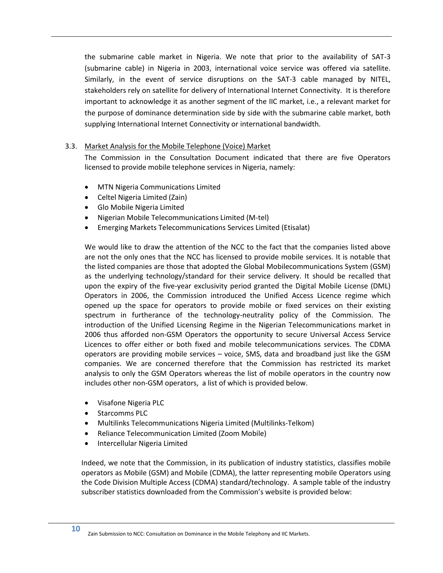the submarine cable market in Nigeria. We note that prior to the availability of SAT-3 (submarine cable) in Nigeria in 2003, international voice service was offered via satellite. Similarly, in the event of service disruptions on the SAT-3 cable managed by NITEL, stakeholders rely on satellite for delivery of International Internet Connectivity. It is therefore important to acknowledge it as another segment of the IIC market, i.e., a relevant market for the purpose of dominance determination side by side with the submarine cable market, both supplying International Internet Connectivity or international bandwidth.

# <span id="page-13-0"></span>3.3. Market Analysis for the Mobile Telephone (Voice) Market

The Commission in the Consultation Document indicated that there are five Operators licensed to provide mobile telephone services in Nigeria, namely:

- MTN Nigeria Communications Limited
- Celtel Nigeria Limited (Zain)
- Glo Mobile Nigeria Limited
- Nigerian Mobile Telecommunications Limited (M-tel)
- Emerging Markets Telecommunications Services Limited (Etisalat)

We would like to draw the attention of the NCC to the fact that the companies listed above are not the only ones that the NCC has licensed to provide mobile services. It is notable that the listed companies are those that adopted the Global Mobilecommunications System (GSM) as the underlying technology/standard for their service delivery. It should be recalled that upon the expiry of the five-year exclusivity period granted the Digital Mobile License (DML) Operators in 2006, the Commission introduced the Unified Access Licence regime which opened up the space for operators to provide mobile or fixed services on their existing spectrum in furtherance of the technology-neutrality policy of the Commission. The introduction of the Unified Licensing Regime in the Nigerian Telecommunications market in 2006 thus afforded non-GSM Operators the opportunity to secure Universal Access Service Licences to offer either or both fixed and mobile telecommunications services. The CDMA operators are providing mobile services – voice, SMS, data and broadband just like the GSM companies. We are concerned therefore that the Commission has restricted its market analysis to only the GSM Operators whereas the list of mobile operators in the country now includes other non-GSM operators, a list of which is provided below.

- Visafone Nigeria PLC
- Starcomms PLC

**10**

- Multilinks Telecommunications Nigeria Limited (Multilinks-Telkom)
- Reliance Telecommunication Limited (Zoom Mobile)
- Intercellular Nigeria Limited

Indeed, we note that the Commission, in its publication of industry statistics, classifies mobile operators as Mobile (GSM) and Mobile (CDMA), the latter representing mobile Operators using the Code Division Multiple Access (CDMA) standard/technology. A sample table of the industry subscriber statistics downloaded from the Commission's website is provided below: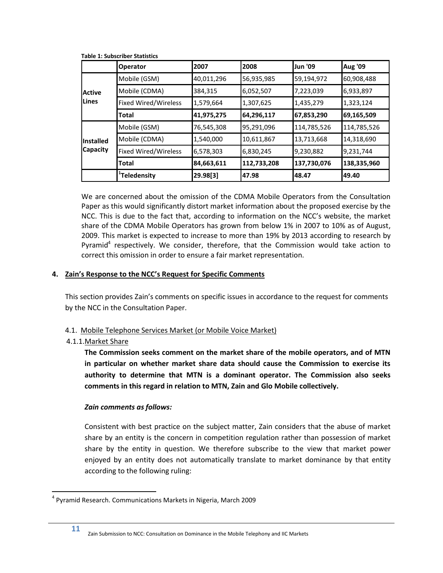|                  | <b>Operator</b>          | 12007      | 2008        | Jun '09     | <b>Aug '09</b> |
|------------------|--------------------------|------------|-------------|-------------|----------------|
|                  | Mobile (GSM)             | 40,011,296 | 56,935,985  | 59,194,972  | 60,908,488     |
| <b>Active</b>    | Mobile (CDMA)            | 384,315    | 6,052,507   | 7,223,039   | 6,933,897      |
| Lines            | Fixed Wired/Wireless     | 1,579,664  | 1,307,625   | 1,435,279   | 1,323,124      |
|                  | Total                    | 41,975,275 | 64,296,117  | 67,853,290  | 69,165,509     |
|                  | Mobile (GSM)             | 76,545,308 | 95,291,096  | 114,785,526 | 114,785,526    |
| <b>Installed</b> | Mobile (CDMA)            | 1,540,000  | 10,611,867  | 13,713,668  | 14,318,690     |
| <b>Capacity</b>  | Fixed Wired/Wireless     | 6,578,303  | 6,830,245   | 9,230,882   | 9,231,744      |
|                  | Total                    | 84,663,611 | 112,733,208 | 137,730,076 | 138,335,960    |
|                  | <sup>+</sup> Teledensity | 29.98[3]   | 47.98       | 48.47       | 49.40          |

<span id="page-14-3"></span>**Table 1: Subscriber Statistics**

We are concerned about the omission of the CDMA Mobile Operators from the Consultation Paper as this would significantly distort market information about the proposed exercise by the NCC. This is due to the fact that, according to information on the NCC's website, the market share of the CDMA Mobile Operators has grown from below 1% in 2007 to 10% as of August, 2009. This market is expected to increase to more than 19% by 2013 according to research by Pyramid<sup>4</sup> respectively. We consider, therefore, that the Commission would take action to correct this omission in order to ensure a fair market representation.

# <span id="page-14-0"></span>**4. Zain's Response to the NCC's Request for Specific Comments**

This section provides Zain's comments on specific issues in accordance to the request for comments by the NCC in the Consultation Paper.

# <span id="page-14-1"></span>4.1. Mobile Telephone Services Market (or Mobile Voice Market)

# <span id="page-14-2"></span>4.1.1.Market Share

 $\overline{\phantom{a}}$ 

**The Commission seeks comment on the market share of the mobile operators, and of MTN in particular on whether market share data should cause the Commission to exercise its authority to determine that MTN is a dominant operator. The Commission also seeks comments in this regard in relation to MTN, Zain and Glo Mobile collectively.**

# *Zain comments as follows:*

Consistent with best practice on the subject matter, Zain considers that the abuse of market share by an entity is the concern in competition regulation rather than possession of market share by the entity in question. We therefore subscribe to the view that market power enjoyed by an entity does not automatically translate to market dominance by that entity according to the following ruling:

<sup>4</sup> Pyramid Research. Communications Markets in Nigeria, March 2009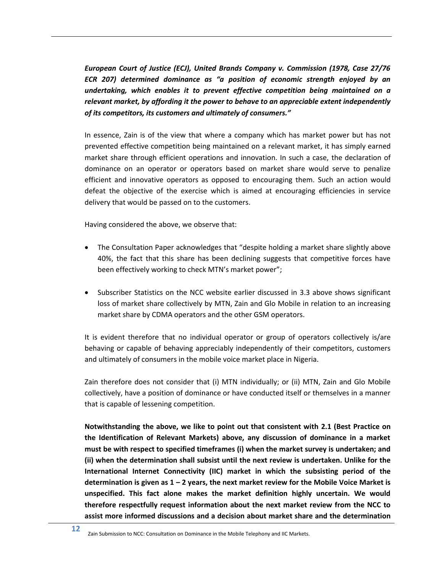*European Court of Justice (ECJ), United Brands Company v. Commission (1978, Case 27/76 ECR 207) determined dominance as "a position of economic strength enjoyed by an undertaking, which enables it to prevent effective competition being maintained on a relevant market, by affording it the power to behave to an appreciable extent independently of its competitors, its customers and ultimately of consumers."* 

In essence, Zain is of the view that where a company which has market power but has not prevented effective competition being maintained on a relevant market, it has simply earned market share through efficient operations and innovation. In such a case, the declaration of dominance on an operator or operators based on market share would serve to penalize efficient and innovative operators as opposed to encouraging them. Such an action would defeat the objective of the exercise which is aimed at encouraging efficiencies in service delivery that would be passed on to the customers.

Having considered the above, we observe that:

- The Consultation Paper acknowledges that "despite holding a market share slightly above 40%, the fact that this share has been declining suggests that competitive forces have been effectively working to check MTN's market power";
- Subscriber Statistics on the NCC website earlier discussed in [3.3](#page-13-0) above shows significant loss of market share collectively by MTN, Zain and Glo Mobile in relation to an increasing market share by CDMA operators and the other GSM operators.

It is evident therefore that no individual operator or group of operators collectively is/are behaving or capable of behaving appreciably independently of their competitors, customers and ultimately of consumers in the mobile voice market place in Nigeria.

Zain therefore does not consider that (i) MTN individually; or (ii) MTN, Zain and Glo Mobile collectively, have a position of dominance or have conducted itself or themselves in a manner that is capable of lessening competition.

**Notwithstanding the above, we like to point out that consistent with [2.1](#page-8-0) (Best Practice on the Identification of Relevant Markets) above, any discussion of dominance in a market must be with respect to specified timeframes (i) when the market survey is undertaken; and (ii) when the determination shall subsist until the next review is undertaken. Unlike for the International Internet Connectivity (IIC) market in which the subsisting period of the determination is given as 1 – 2 years, the next market review for the Mobile Voice Market is unspecified. This fact alone makes the market definition highly uncertain. We would therefore respectfully request information about the next market review from the NCC to assist more informed discussions and a decision about market share and the determination** 

Zain Submission to NCC: Consultation on Dominance in the Mobile Telephony and IIC Markets.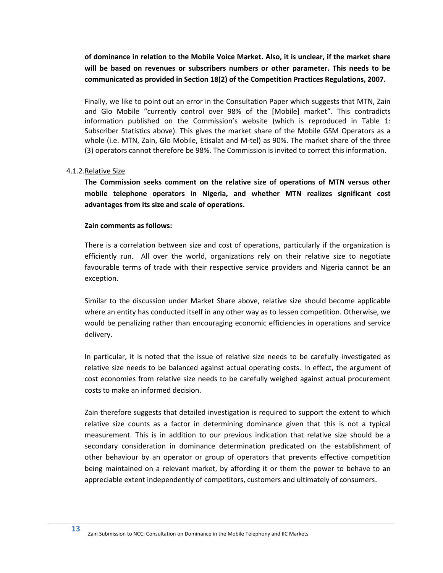**of dominance in relation to the Mobile Voice Market. Also, it is unclear, if the market share will be based on revenues or subscribers numbers or other parameter. This needs to be communicated as provided in Section 18(2) of the Competition Practices Regulations, 2007.**

Finally, we like to point out an error in the Consultation Paper which suggests that MTN, Zain and Glo Mobile "currently control over 98% of the [Mobile] market". This contradicts information published on the Commission's website (which is reproduced in [Table 1:](#page-14-3)  [Subscriber Statistics](#page-14-3) above). This gives the market share of the Mobile GSM Operators as a whole (i.e. MTN, Zain, Glo Mobile, Etisalat and M-tel) as 90%. The market share of the three (3) operators cannot therefore be 98%. The Commission is invited to correct this information.

## <span id="page-16-0"></span>4.1.2.Relative Size

**The Commission seeks comment on the relative size of operations of MTN versus other mobile telephone operators in Nigeria, and whether MTN realizes significant cost advantages from its size and scale of operations.**

## **Zain comments as follows:**

There is a correlation between size and cost of operations, particularly if the organization is efficiently run. All over the world, organizations rely on their relative size to negotiate favourable terms of trade with their respective service providers and Nigeria cannot be an exception.

Similar to the discussion under Market Share above, relative size should become applicable where an entity has conducted itself in any other way as to lessen competition. Otherwise, we would be penalizing rather than encouraging economic efficiencies in operations and service delivery.

In particular, it is noted that the issue of relative size needs to be carefully investigated as relative size needs to be balanced against actual operating costs. In effect, the argument of cost economies from relative size needs to be carefully weighed against actual procurement costs to make an informed decision.

Zain therefore suggests that detailed investigation is required to support the extent to which relative size counts as a factor in determining dominance given that this is not a typical measurement. This is in addition to our previous indication that relative size should be a secondary consideration in dominance determination predicated on the establishment of other behaviour by an operator or group of operators that prevents effective competition being maintained on a relevant market, by affording it or them the power to behave to an appreciable extent independently of competitors, customers and ultimately of consumers.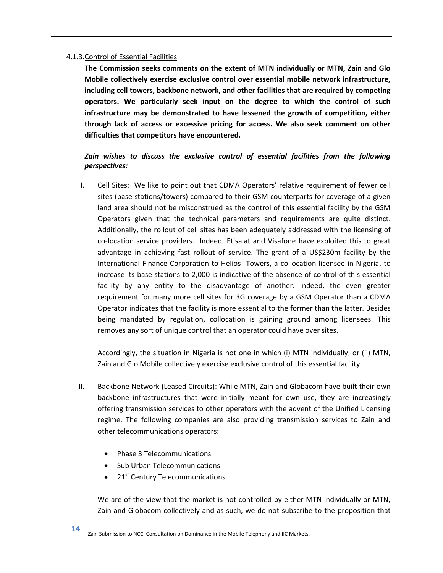### <span id="page-17-0"></span>4.1.3.Control of Essential Facilities

**The Commission seeks comments on the extent of MTN individually or MTN, Zain and Glo Mobile collectively exercise exclusive control over essential mobile network infrastructure, including cell towers, backbone network, and other facilities that are required by competing operators. We particularly seek input on the degree to which the control of such infrastructure may be demonstrated to have lessened the growth of competition, either through lack of access or excessive pricing for access. We also seek comment on other difficulties that competitors have encountered.**

# *Zain wishes to discuss the exclusive control of essential facilities from the following perspectives:*

I. Cell Sites:We like to point out that CDMA Operators' relative requirement of fewer cell sites (base stations/towers) compared to their GSM counterparts for coverage of a given land area should not be misconstrued as the control of this essential facility by the GSM Operators given that the technical parameters and requirements are quite distinct. Additionally, the rollout of cell sites has been adequately addressed with the licensing of co-location service providers. Indeed, Etisalat and Visafone have exploited this to great advantage in achieving fast rollout of service. The grant of a US\$230m facility by the International Finance Corporation to Helios Towers, a collocation licensee in Nigeria, to increase its base stations to 2,000 is indicative of the absence of control of this essential facility by any entity to the disadvantage of another. Indeed, the even greater requirement for many more cell sites for 3G coverage by a GSM Operator than a CDMA Operator indicates that the facility is more essential to the former than the latter. Besides being mandated by regulation, collocation is gaining ground among licensees. This removes any sort of unique control that an operator could have over sites.

Accordingly, the situation in Nigeria is not one in which (i) MTN individually; or (ii) MTN, Zain and Glo Mobile collectively exercise exclusive control of this essential facility.

- II. Backbone Network (Leased Circuits): While MTN, Zain and Globacom have built their own backbone infrastructures that were initially meant for own use, they are increasingly offering transmission services to other operators with the advent of the Unified Licensing regime. The following companies are also providing transmission services to Zain and other telecommunications operators:
	- Phase 3 Telecommunications
	- Sub Urban Telecommunications
	- 21<sup>st</sup> Century Telecommunications

We are of the view that the market is not controlled by either MTN individually or MTN, Zain and Globacom collectively and as such, we do not subscribe to the proposition that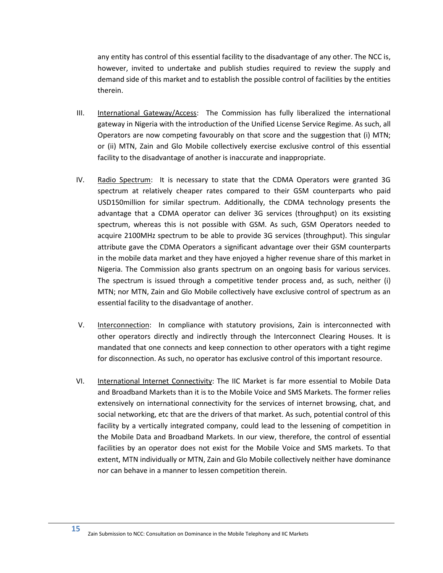any entity has control of this essential facility to the disadvantage of any other. The NCC is, however, invited to undertake and publish studies required to review the supply and demand side of this market and to establish the possible control of facilities by the entities therein.

- III. International Gateway/Access: The Commission has fully liberalized the international gateway in Nigeria with the introduction of the Unified License Service Regime. As such, all Operators are now competing favourably on that score and the suggestion that (i) MTN; or (ii) MTN, Zain and Glo Mobile collectively exercise exclusive control of this essential facility to the disadvantage of another is inaccurate and inappropriate.
- IV. Radio Spectrum: It is necessary to state that the CDMA Operators were granted 3G spectrum at relatively cheaper rates compared to their GSM counterparts who paid USD150million for similar spectrum. Additionally, the CDMA technology presents the advantage that a CDMA operator can deliver 3G services (throughput) on its exsisting spectrum, whereas this is not possible with GSM. As such, GSM Operators needed to acquire 2100MHz spectrum to be able to provide 3G services (throughput). This singular attribute gave the CDMA Operators a significant advantage over their GSM counterparts in the mobile data market and they have enjoyed a higher revenue share of this market in Nigeria. The Commission also grants spectrum on an ongoing basis for various services. The spectrum is issued through a competitive tender process and, as such, neither (i) MTN; nor MTN, Zain and Glo Mobile collectively have exclusive control of spectrum as an essential facility to the disadvantage of another.
- V. Interconnection: In compliance with statutory provisions, Zain is interconnected with other operators directly and indirectly through the Interconnect Clearing Houses. It is mandated that one connects and keep connection to other operators with a tight regime for disconnection. As such, no operator has exclusive control of this important resource.
- VI. International Internet Connectivity: The IIC Market is far more essential to Mobile Data and Broadband Markets than it is to the Mobile Voice and SMS Markets. The former relies extensively on international connectivity for the services of internet browsing, chat, and social networking, etc that are the drivers of that market. As such, potential control of this facility by a vertically integrated company, could lead to the lessening of competition in the Mobile Data and Broadband Markets. In our view, therefore, the control of essential facilities by an operator does not exist for the Mobile Voice and SMS markets. To that extent, MTN individually or MTN, Zain and Glo Mobile collectively neither have dominance nor can behave in a manner to lessen competition therein.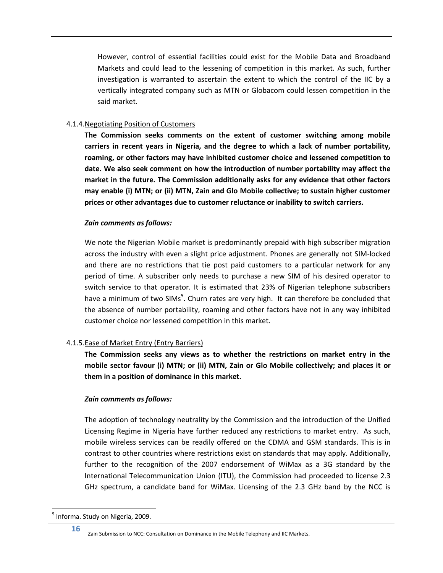However, control of essential facilities could exist for the Mobile Data and Broadband Markets and could lead to the lessening of competition in this market. As such, further investigation is warranted to ascertain the extent to which the control of the IIC by a vertically integrated company such as MTN or Globacom could lessen competition in the said market.

## <span id="page-19-0"></span>4.1.4.Negotiating Position of Customers

**The Commission seeks comments on the extent of customer switching among mobile carriers in recent years in Nigeria, and the degree to which a lack of number portability, roaming, or other factors may have inhibited customer choice and lessened competition to date. We also seek comment on how the introduction of number portability may affect the market in the future. The Commission additionally asks for any evidence that other factors may enable (i) MTN; or (ii) MTN, Zain and Glo Mobile collective; to sustain higher customer prices or other advantages due to customer reluctance or inability to switch carriers.**

## *Zain comments as follows:*

We note the Nigerian Mobile market is predominantly prepaid with high subscriber migration across the industry with even a slight price adjustment. Phones are generally not SIM-locked and there are no restrictions that tie post paid customers to a particular network for any period of time. A subscriber only needs to purchase a new SIM of his desired operator to switch service to that operator. It is estimated that 23% of Nigerian telephone subscribers have a minimum of two SIMs<sup>5</sup>. Churn rates are very high. It can therefore be concluded that the absence of number portability, roaming and other factors have not in any way inhibited customer choice nor lessened competition in this market.

# <span id="page-19-1"></span>4.1.5.Ease of Market Entry (Entry Barriers)

**The Commission seeks any views as to whether the restrictions on market entry in the mobile sector favour (i) MTN; or (ii) MTN, Zain or Glo Mobile collectively; and places it or them in a position of dominance in this market.**

#### *Zain comments as follows:*

The adoption of technology neutrality by the Commission and the introduction of the Unified Licensing Regime in Nigeria have further reduced any restrictions to market entry. As such, mobile wireless services can be readily offered on the CDMA and GSM standards. This is in contrast to other countries where restrictions exist on standards that may apply. Additionally, further to the recognition of the 2007 endorsement of WiMax as a 3G standard by the International Telecommunication Union (ITU), the Commission had proceeded to license 2.3 GHz spectrum, a candidate band for WiMax. Licensing of the 2.3 GHz band by the NCC is

 $\overline{\phantom{a}}$ 

<sup>&</sup>lt;sup>5</sup> Informa. Study on Nigeria, 2009.

Zain Submission to NCC: Consultation on Dominance in the Mobile Telephony and IIC Markets.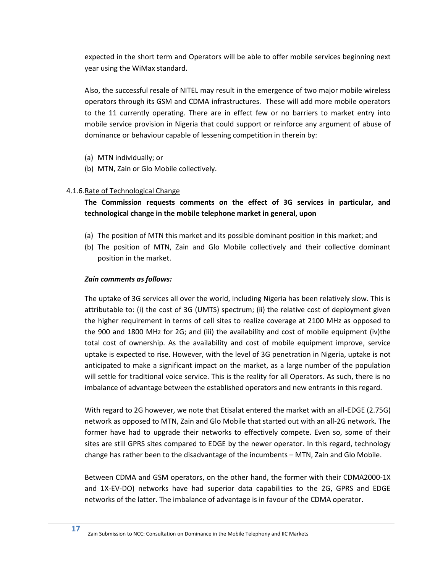expected in the short term and Operators will be able to offer mobile services beginning next year using the WiMax standard.

Also, the successful resale of NITEL may result in the emergence of two major mobile wireless operators through its GSM and CDMA infrastructures. These will add more mobile operators to the 11 currently operating. There are in effect few or no barriers to market entry into mobile service provision in Nigeria that could support or reinforce any argument of abuse of dominance or behaviour capable of lessening competition in therein by:

- (a) MTN individually; or
- (b) MTN, Zain or Glo Mobile collectively.

## <span id="page-20-0"></span>4.1.6.Rate of Technological Change

# **The Commission requests comments on the effect of 3G services in particular, and technological change in the mobile telephone market in general, upon**

- (a) The position of MTN this market and its possible dominant position in this market; and
- (b) The position of MTN, Zain and Glo Mobile collectively and their collective dominant position in the market.

## *Zain comments as follows:*

The uptake of 3G services all over the world, including Nigeria has been relatively slow. This is attributable to: (i) the cost of 3G (UMTS) spectrum; (ii) the relative cost of deployment given the higher requirement in terms of cell sites to realize coverage at 2100 MHz as opposed to the 900 and 1800 MHz for 2G; and (iii) the availability and cost of mobile equipment (iv)the total cost of ownership. As the availability and cost of mobile equipment improve, service uptake is expected to rise. However, with the level of 3G penetration in Nigeria, uptake is not anticipated to make a significant impact on the market, as a large number of the population will settle for traditional voice service. This is the reality for all Operators. As such, there is no imbalance of advantage between the established operators and new entrants in this regard.

With regard to 2G however, we note that Etisalat entered the market with an all-EDGE (2.75G) network as opposed to MTN, Zain and Glo Mobile that started out with an all-2G network. The former have had to upgrade their networks to effectively compete. Even so, some of their sites are still GPRS sites compared to EDGE by the newer operator. In this regard, technology change has rather been to the disadvantage of the incumbents – MTN, Zain and Glo Mobile.

Between CDMA and GSM operators, on the other hand, the former with their CDMA2000-1X and 1X-EV-DO) networks have had superior data capabilities to the 2G, GPRS and EDGE networks of the latter. The imbalance of advantage is in favour of the CDMA operator.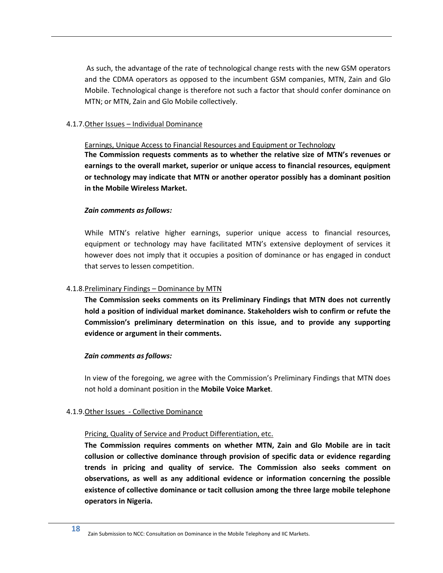As such, the advantage of the rate of technological change rests with the new GSM operators and the CDMA operators as opposed to the incumbent GSM companies, MTN, Zain and Glo Mobile. Technological change is therefore not such a factor that should confer dominance on MTN; or MTN, Zain and Glo Mobile collectively.

## <span id="page-21-0"></span>4.1.7.Other Issues – Individual Dominance

Earnings, Unique Access to Financial Resources and Equipment or Technology

**The Commission requests comments as to whether the relative size of MTN's revenues or earnings to the overall market, superior or unique access to financial resources, equipment or technology may indicate that MTN or another operator possibly has a dominant position in the Mobile Wireless Market.**

## *Zain comments as follows:*

While MTN's relative higher earnings, superior unique access to financial resources, equipment or technology may have facilitated MTN's extensive deployment of services it however does not imply that it occupies a position of dominance or has engaged in conduct that serves to lessen competition.

## <span id="page-21-1"></span>4.1.8.Preliminary Findings – Dominance by MTN

**The Commission seeks comments on its Preliminary Findings that MTN does not currently hold a position of individual market dominance. Stakeholders wish to confirm or refute the Commission's preliminary determination on this issue, and to provide any supporting evidence or argument in their comments.**

#### *Zain comments as follows:*

In view of the foregoing, we agree with the Commission's Preliminary Findings that MTN does not hold a dominant position in the **Mobile Voice Market**.

# <span id="page-21-2"></span>4.1.9.Other Issues - Collective Dominance

# Pricing, Quality of Service and Product Differentiation, etc.

**The Commission requires comments on whether MTN, Zain and Glo Mobile are in tacit collusion or collective dominance through provision of specific data or evidence regarding trends in pricing and quality of service. The Commission also seeks comment on observations, as well as any additional evidence or information concerning the possible existence of collective dominance or tacit collusion among the three large mobile telephone operators in Nigeria.**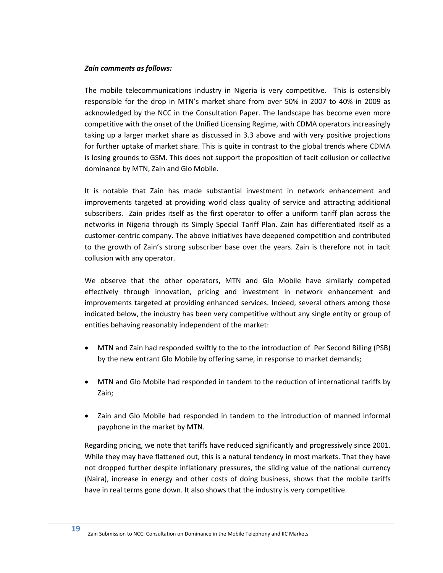#### *Zain comments as follows:*

The mobile telecommunications industry in Nigeria is very competitive. This is ostensibly responsible for the drop in MTN's market share from over 50% in 2007 to 40% in 2009 as acknowledged by the NCC in the Consultation Paper. The landscape has become even more competitive with the onset of the Unified Licensing Regime, with CDMA operators increasingly taking up a larger market share as discussed in [3.3](#page-13-0) above and with very positive projections for further uptake of market share. This is quite in contrast to the global trends where CDMA is losing grounds to GSM. This does not support the proposition of tacit collusion or collective dominance by MTN, Zain and Glo Mobile.

It is notable that Zain has made substantial investment in network enhancement and improvements targeted at providing world class quality of service and attracting additional subscribers. Zain prides itself as the first operator to offer a uniform tariff plan across the networks in Nigeria through its Simply Special Tariff Plan. Zain has differentiated itself as a customer-centric company. The above initiatives have deepened competition and contributed to the growth of Zain's strong subscriber base over the years. Zain is therefore not in tacit collusion with any operator.

We observe that the other operators, MTN and Glo Mobile have similarly competed effectively through innovation, pricing and investment in network enhancement and improvements targeted at providing enhanced services. Indeed, several others among those indicated below, the industry has been very competitive without any single entity or group of entities behaving reasonably independent of the market:

- MTN and Zain had responded swiftly to the to the introduction of Per Second Billing (PSB) by the new entrant Glo Mobile by offering same, in response to market demands;
- MTN and Glo Mobile had responded in tandem to the reduction of international tariffs by Zain;
- Zain and Glo Mobile had responded in tandem to the introduction of manned informal payphone in the market by MTN.

Regarding pricing, we note that tariffs have reduced significantly and progressively since 2001. While they may have flattened out, this is a natural tendency in most markets. That they have not dropped further despite inflationary pressures, the sliding value of the national currency (Naira), increase in energy and other costs of doing business, shows that the mobile tariffs have in real terms gone down. It also shows that the industry is very competitive.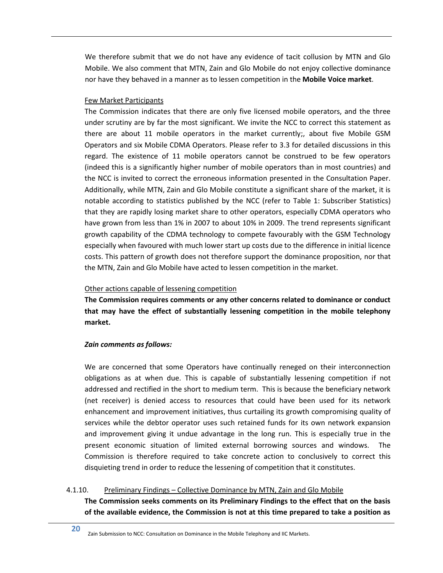We therefore submit that we do not have any evidence of tacit collusion by MTN and Glo Mobile. We also comment that MTN, Zain and Glo Mobile do not enjoy collective dominance nor have they behaved in a manner as to lessen competition in the **Mobile Voice market**.

### Few Market Participants

The Commission indicates that there are only five licensed mobile operators, and the three under scrutiny are by far the most significant. We invite the NCC to correct this statement as there are about 11 mobile operators in the market currently;, about five Mobile GSM Operators and six Mobile CDMA Operators. Please refer to [3.3](#page-13-0) for detailed discussions in this regard. The existence of 11 mobile operators cannot be construed to be few operators (indeed this is a significantly higher number of mobile operators than in most countries) and the NCC is invited to correct the erroneous information presented in the Consultation Paper. Additionally, while MTN, Zain and Glo Mobile constitute a significant share of the market, it is notable according to statistics published by the NCC (refer to [Table 1: Subscriber Statistics\)](#page-14-3) that they are rapidly losing market share to other operators, especially CDMA operators who have grown from less than 1% in 2007 to about 10% in 2009. The trend represents significant growth capability of the CDMA technology to compete favourably with the GSM Technology especially when favoured with much lower start up costs due to the difference in initial licence costs. This pattern of growth does not therefore support the dominance proposition, nor that the MTN, Zain and Glo Mobile have acted to lessen competition in the market.

## Other actions capable of lessening competition

**The Commission requires comments or any other concerns related to dominance or conduct that may have the effect of substantially lessening competition in the mobile telephony market.**

# *Zain comments as follows:*

We are concerned that some Operators have continually reneged on their interconnection obligations as at when due. This is capable of substantially lessening competition if not addressed and rectified in the short to medium term. This is because the beneficiary network (net receiver) is denied access to resources that could have been used for its network enhancement and improvement initiatives, thus curtailing its growth compromising quality of services while the debtor operator uses such retained funds for its own network expansion and improvement giving it undue advantage in the long run. This is especially true in the present economic situation of limited external borrowing sources and windows. The Commission is therefore required to take concrete action to conclusively to correct this disquieting trend in order to reduce the lessening of competition that it constitutes.

# <span id="page-23-0"></span>4.1.10. Preliminary Findings – Collective Dominance by MTN, Zain and Glo Mobile

**The Commission seeks comments on its Preliminary Findings to the effect that on the basis of the available evidence, the Commission is not at this time prepared to take a position as**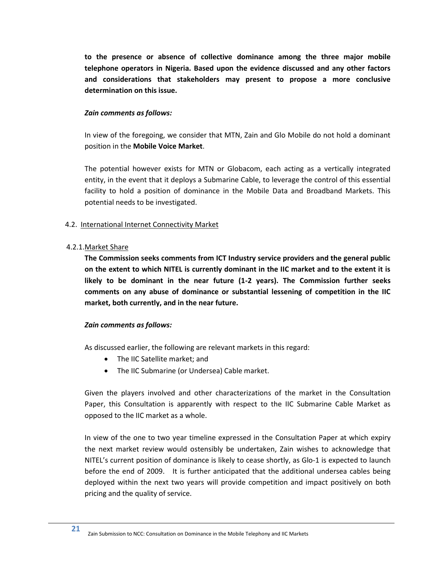**to the presence or absence of collective dominance among the three major mobile telephone operators in Nigeria. Based upon the evidence discussed and any other factors and considerations that stakeholders may present to propose a more conclusive determination on this issue.**

### *Zain comments as follows:*

In view of the foregoing, we consider that MTN, Zain and Glo Mobile do not hold a dominant position in the **Mobile Voice Market**.

The potential however exists for MTN or Globacom, each acting as a vertically integrated entity, in the event that it deploys a Submarine Cable, to leverage the control of this essential facility to hold a position of dominance in the Mobile Data and Broadband Markets. This potential needs to be investigated.

# <span id="page-24-0"></span>4.2. International Internet Connectivity Market

#### <span id="page-24-1"></span>4.2.1.Market Share

**The Commission seeks comments from ICT Industry service providers and the general public on the extent to which NITEL is currently dominant in the IIC market and to the extent it is likely to be dominant in the near future (1-2 years). The Commission further seeks comments on any abuse of dominance or substantial lessening of competition in the IIC market, both currently, and in the near future.**

#### *Zain comments as follows:*

As discussed earlier, the following are relevant markets in this regard:

- The IIC Satellite market; and
- The IIC Submarine (or Undersea) Cable market.

Given the players involved and other characterizations of the market in the Consultation Paper, this Consultation is apparently with respect to the IIC Submarine Cable Market as opposed to the IIC market as a whole.

In view of the one to two year timeline expressed in the Consultation Paper at which expiry the next market review would ostensibly be undertaken, Zain wishes to acknowledge that NITEL's current position of dominance is likely to cease shortly, as Glo-1 is expected to launch before the end of 2009. It is further anticipated that the additional undersea cables being deployed within the next two years will provide competition and impact positively on both pricing and the quality of service.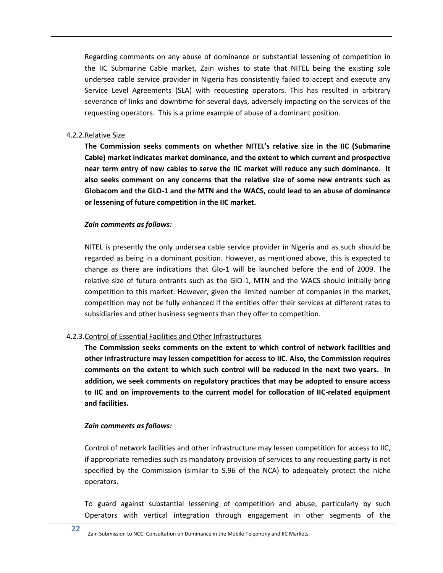Regarding comments on any abuse of dominance or substantial lessening of competition in the IIC Submarine Cable market, Zain wishes to state that NITEL being the existing sole undersea cable service provider in Nigeria has consistently failed to accept and execute any Service Level Agreements (SLA) with requesting operators. This has resulted in arbitrary severance of links and downtime for several days, adversely impacting on the services of the requesting operators. This is a prime example of abuse of a dominant position.

### <span id="page-25-0"></span>4.2.2.Relative Size

**The Commission seeks comments on whether NITEL's relative size in the IIC (Submarine Cable) market indicates market dominance, and the extent to which current and prospective near term entry of new cables to serve the IIC market will reduce any such dominance. It also seeks comment on any concerns that the relative size of some new entrants such as Globacom and the GLO-1 and the MTN and the WACS, could lead to an abuse of dominance or lessening of future competition in the IIC market.**

## *Zain comments as follows:*

NITEL is presently the only undersea cable service provider in Nigeria and as such should be regarded as being in a dominant position. However, as mentioned above, this is expected to change as there are indications that Glo-1 will be launched before the end of 2009. The relative size of future entrants such as the GlO-1, MTN and the WACS should initially bring competition to this market. However, given the limited number of companies in the market, competition may not be fully enhanced if the entities offer their services at different rates to subsidiaries and other business segments than they offer to competition.

# <span id="page-25-1"></span>4.2.3.Control of Essential Facilities and Other Infrastructures

**The Commission seeks comments on the extent to which control of network facilities and other infrastructure may lessen competition for access to IIC. Also, the Commission requires comments on the extent to which such control will be reduced in the next two years. In addition, we seek comments on regulatory practices that may be adopted to ensure access to IIC and on improvements to the current model for collocation of IIC-related equipment and facilities.**

#### *Zain comments as follows:*

Control of network facilities and other infrastructure may lessen competition for access to IIC, if appropriate remedies such as mandatory provision of services to any requesting party is not specified by the Commission (similar to S.96 of the NCA) to adequately protect the niche operators.

To guard against substantial lessening of competition and abuse, particularly by such Operators with vertical integration through engagement in other segments of the

**22** Zain Submission to NCC: Consultation on Dominance in the Mobile Telephony and IIC Markets.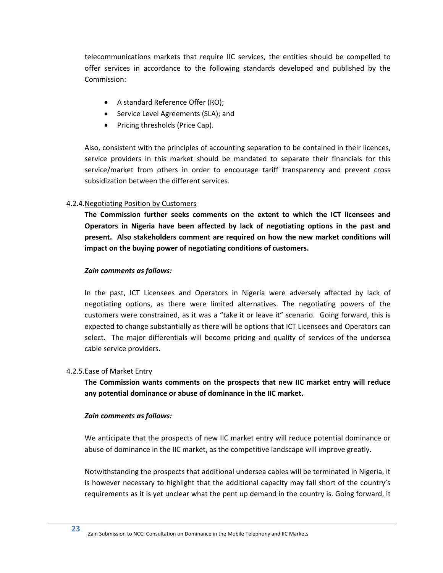telecommunications markets that require IIC services, the entities should be compelled to offer services in accordance to the following standards developed and published by the Commission:

- A standard Reference Offer (RO);
- Service Level Agreements (SLA); and
- Pricing thresholds (Price Cap).

Also, consistent with the principles of accounting separation to be contained in their licences, service providers in this market should be mandated to separate their financials for this service/market from others in order to encourage tariff transparency and prevent cross subsidization between the different services.

## <span id="page-26-0"></span>4.2.4.Negotiating Position by Customers

**The Commission further seeks comments on the extent to which the ICT licensees and Operators in Nigeria have been affected by lack of negotiating options in the past and present. Also stakeholders comment are required on how the new market conditions will impact on the buying power of negotiating conditions of customers.**

## *Zain comments as follows:*

In the past, ICT Licensees and Operators in Nigeria were adversely affected by lack of negotiating options, as there were limited alternatives. The negotiating powers of the customers were constrained, as it was a "take it or leave it" scenario. Going forward, this is expected to change substantially as there will be options that ICT Licensees and Operators can select. The major differentials will become pricing and quality of services of the undersea cable service providers.

#### <span id="page-26-1"></span>4.2.5.Ease of Market Entry

**The Commission wants comments on the prospects that new IIC market entry will reduce any potential dominance or abuse of dominance in the IIC market.**

# *Zain comments as follows:*

We anticipate that the prospects of new IIC market entry will reduce potential dominance or abuse of dominance in the IIC market, as the competitive landscape will improve greatly.

Notwithstanding the prospects that additional undersea cables will be terminated in Nigeria, it is however necessary to highlight that the additional capacity may fall short of the country's requirements as it is yet unclear what the pent up demand in the country is. Going forward, it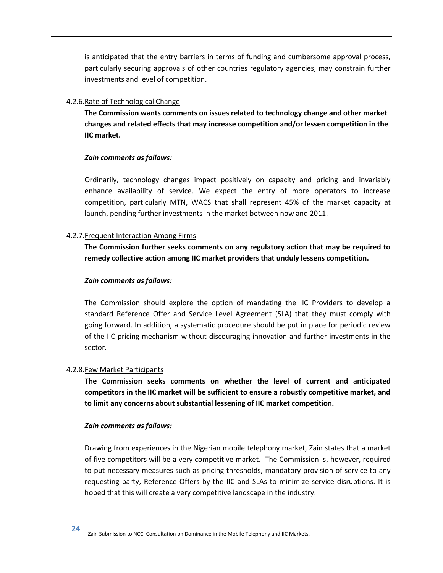is anticipated that the entry barriers in terms of funding and cumbersome approval process, particularly securing approvals of other countries regulatory agencies, may constrain further investments and level of competition.

# <span id="page-27-0"></span>4.2.6.Rate of Technological Change

**The Commission wants comments on issues related to technology change and other market changes and related effects that may increase competition and/or lessen competition in the IIC market.**

## *Zain comments as follows:*

Ordinarily, technology changes impact positively on capacity and pricing and invariably enhance availability of service. We expect the entry of more operators to increase competition, particularly MTN, WACS that shall represent 45% of the market capacity at launch, pending further investments in the market between now and 2011.

## <span id="page-27-1"></span>4.2.7.Frequent Interaction Among Firms

**The Commission further seeks comments on any regulatory action that may be required to remedy collective action among IIC market providers that unduly lessens competition.**

## *Zain comments as follows:*

The Commission should explore the option of mandating the IIC Providers to develop a standard Reference Offer and Service Level Agreement (SLA) that they must comply with going forward. In addition, a systematic procedure should be put in place for periodic review of the IIC pricing mechanism without discouraging innovation and further investments in the sector.

# <span id="page-27-2"></span>4.2.8.Few Market Participants

**The Commission seeks comments on whether the level of current and anticipated competitors in the IIC market will be sufficient to ensure a robustly competitive market, and to limit any concerns about substantial lessening of IIC market competition.**

# *Zain comments as follows:*

Drawing from experiences in the Nigerian mobile telephony market, Zain states that a market of five competitors will be a very competitive market. The Commission is, however, required to put necessary measures such as pricing thresholds, mandatory provision of service to any requesting party, Reference Offers by the IIC and SLAs to minimize service disruptions. It is hoped that this will create a very competitive landscape in the industry.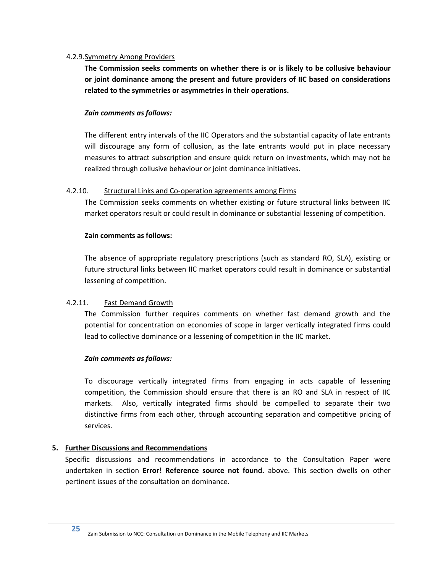## <span id="page-28-0"></span>4.2.9.Symmetry Among Providers

**The Commission seeks comments on whether there is or is likely to be collusive behaviour or joint dominance among the present and future providers of IIC based on considerations related to the symmetries or asymmetries in their operations.**

## *Zain comments as follows:*

The different entry intervals of the IIC Operators and the substantial capacity of late entrants will discourage any form of collusion, as the late entrants would put in place necessary measures to attract subscription and ensure quick return on investments, which may not be realized through collusive behaviour or joint dominance initiatives.

# <span id="page-28-1"></span>4.2.10. Structural Links and Co-operation agreements among Firms

The Commission seeks comments on whether existing or future structural links between IIC market operators result or could result in dominance or substantial lessening of competition.

## **Zain comments as follows:**

The absence of appropriate regulatory prescriptions (such as standard RO, SLA), existing or future structural links between IIC market operators could result in dominance or substantial lessening of competition.

# <span id="page-28-2"></span>4.2.11. Fast Demand Growth

The Commission further requires comments on whether fast demand growth and the potential for concentration on economies of scope in larger vertically integrated firms could lead to collective dominance or a lessening of competition in the IIC market.

# *Zain comments as follows:*

To discourage vertically integrated firms from engaging in acts capable of lessening competition, the Commission should ensure that there is an RO and SLA in respect of IIC markets. Also, vertically integrated firms should be compelled to separate their two distinctive firms from each other, through accounting separation and competitive pricing of services.

# <span id="page-28-3"></span>**5. Further Discussions and Recommendations**

Specific discussions and recommendations in accordance to the Consultation Paper were undertaken in section **Error! Reference source not found.** above. This section dwells on other pertinent issues of the consultation on dominance.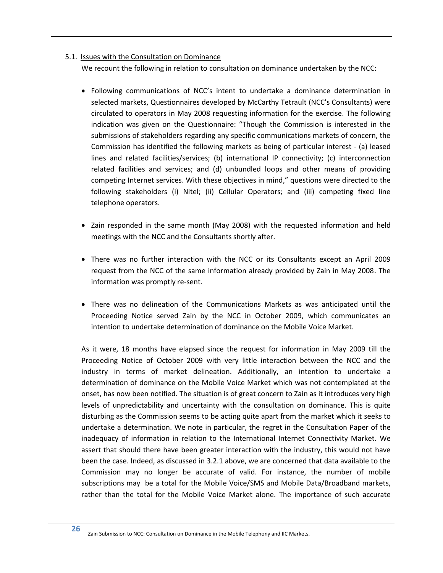## <span id="page-29-0"></span>5.1. Issues with the Consultation on Dominance

We recount the following in relation to consultation on dominance undertaken by the NCC:

- Following communications of NCC's intent to undertake a dominance determination in selected markets, Questionnaires developed by McCarthy Tetrault (NCC's Consultants) were circulated to operators in May 2008 requesting information for the exercise. The following indication was given on the Questionnaire: "Though the Commission is interested in the submissions of stakeholders regarding any specific communications markets of concern, the Commission has identified the following markets as being of particular interest - (a) leased lines and related facilities/services; (b) international IP connectivity; (c) interconnection related facilities and services; and (d) unbundled loops and other means of providing competing Internet services. With these objectives in mind," questions were directed to the following stakeholders (i) Nitel; (ii) Cellular Operators; and (iii) competing fixed line telephone operators.
- Zain responded in the same month (May 2008) with the requested information and held meetings with the NCC and the Consultants shortly after.
- There was no further interaction with the NCC or its Consultants except an April 2009 request from the NCC of the same information already provided by Zain in May 2008. The information was promptly re-sent.
- There was no delineation of the Communications Markets as was anticipated until the Proceeding Notice served Zain by the NCC in October 2009, which communicates an intention to undertake determination of dominance on the Mobile Voice Market.

As it were, 18 months have elapsed since the request for information in May 2009 till the Proceeding Notice of October 2009 with very little interaction between the NCC and the industry in terms of market delineation. Additionally, an intention to undertake a determination of dominance on the Mobile Voice Market which was not contemplated at the onset, has now been notified. The situation is of great concern to Zain as it introduces very high levels of unpredictability and uncertainty with the consultation on dominance. This is quite disturbing as the Commission seems to be acting quite apart from the market which it seeks to undertake a determination. We note in particular, the regret in the Consultation Paper of the inadequacy of information in relation to the International Internet Connectivity Market. We assert that should there have been greater interaction with the industry, this would not have been the case. Indeed, as discussed in [3.2.1](#page-11-0) above, we are concerned that data available to the Commission may no longer be accurate of valid. For instance, the number of mobile subscriptions may be a total for the Mobile Voice/SMS and Mobile Data/Broadband markets, rather than the total for the Mobile Voice Market alone. The importance of such accurate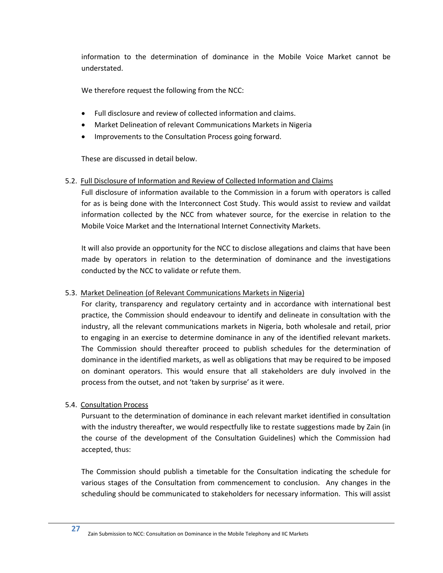information to the determination of dominance in the Mobile Voice Market cannot be understated.

We therefore request the following from the NCC:

- Full disclosure and review of collected information and claims.
- Market Delineation of relevant Communications Markets in Nigeria
- Improvements to the Consultation Process going forward.

These are discussed in detail below.

# <span id="page-30-0"></span>5.2. Full Disclosure of Information and Review of Collected Information and Claims

Full disclosure of information available to the Commission in a forum with operators is called for as is being done with the Interconnect Cost Study. This would assist to review and vaildat information collected by the NCC from whatever source, for the exercise in relation to the Mobile Voice Market and the International Internet Connectivity Markets.

It will also provide an opportunity for the NCC to disclose allegations and claims that have been made by operators in relation to the determination of dominance and the investigations conducted by the NCC to validate or refute them.

# <span id="page-30-1"></span>5.3. Market Delineation (of Relevant Communications Markets in Nigeria)

For clarity, transparency and regulatory certainty and in accordance with international best practice, the Commission should endeavour to identify and delineate in consultation with the industry, all the relevant communications markets in Nigeria, both wholesale and retail, prior to engaging in an exercise to determine dominance in any of the identified relevant markets. The Commission should thereafter proceed to publish schedules for the determination of dominance in the identified markets, as well as obligations that may be required to be imposed on dominant operators. This would ensure that all stakeholders are duly involved in the process from the outset, and not 'taken by surprise' as it were.

# <span id="page-30-2"></span>5.4. Consultation Process

Pursuant to the determination of dominance in each relevant market identified in consultation with the industry thereafter, we would respectfully like to restate suggestions made by Zain (in the course of the development of the Consultation Guidelines) which the Commission had accepted, thus:

The Commission should publish a timetable for the Consultation indicating the schedule for various stages of the Consultation from commencement to conclusion. Any changes in the scheduling should be communicated to stakeholders for necessary information. This will assist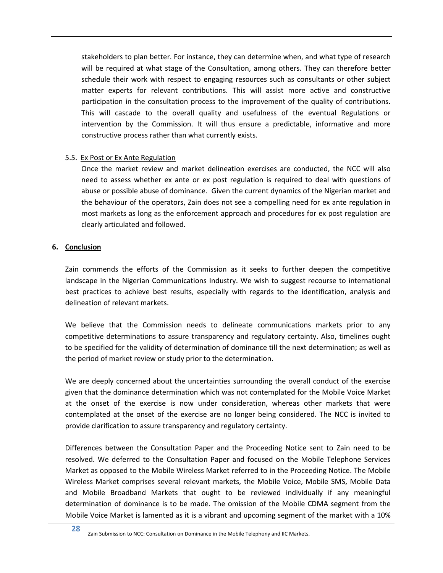stakeholders to plan better. For instance, they can determine when, and what type of research will be required at what stage of the Consultation, among others. They can therefore better schedule their work with respect to engaging resources such as consultants or other subject matter experts for relevant contributions. This will assist more active and constructive participation in the consultation process to the improvement of the quality of contributions. This will cascade to the overall quality and usefulness of the eventual Regulations or intervention by the Commission. It will thus ensure a predictable, informative and more constructive process rather than what currently exists.

## <span id="page-31-0"></span>5.5. Ex Post or Ex Ante Regulation

Once the market review and market delineation exercises are conducted, the NCC will also need to assess whether ex ante or ex post regulation is required to deal with questions of abuse or possible abuse of dominance. Given the current dynamics of the Nigerian market and the behaviour of the operators, Zain does not see a compelling need for ex ante regulation in most markets as long as the enforcement approach and procedures for ex post regulation are clearly articulated and followed.

## <span id="page-31-1"></span>**6. Conclusion**

Zain commends the efforts of the Commission as it seeks to further deepen the competitive landscape in the Nigerian Communications Industry. We wish to suggest recourse to international best practices to achieve best results, especially with regards to the identification, analysis and delineation of relevant markets.

We believe that the Commission needs to delineate communications markets prior to any competitive determinations to assure transparency and regulatory certainty. Also, timelines ought to be specified for the validity of determination of dominance till the next determination; as well as the period of market review or study prior to the determination.

We are deeply concerned about the uncertainties surrounding the overall conduct of the exercise given that the dominance determination which was not contemplated for the Mobile Voice Market at the onset of the exercise is now under consideration, whereas other markets that were contemplated at the onset of the exercise are no longer being considered. The NCC is invited to provide clarification to assure transparency and regulatory certainty.

Differences between the Consultation Paper and the Proceeding Notice sent to Zain need to be resolved. We deferred to the Consultation Paper and focused on the Mobile Telephone Services Market as opposed to the Mobile Wireless Market referred to in the Proceeding Notice. The Mobile Wireless Market comprises several relevant markets, the Mobile Voice, Mobile SMS, Mobile Data and Mobile Broadband Markets that ought to be reviewed individually if any meaningful determination of dominance is to be made. The omission of the Mobile CDMA segment from the Mobile Voice Market is lamented as it is a vibrant and upcoming segment of the market with a 10%

**28** Zain Submission to NCC: Consultation on Dominance in the Mobile Telephony and IIC Markets.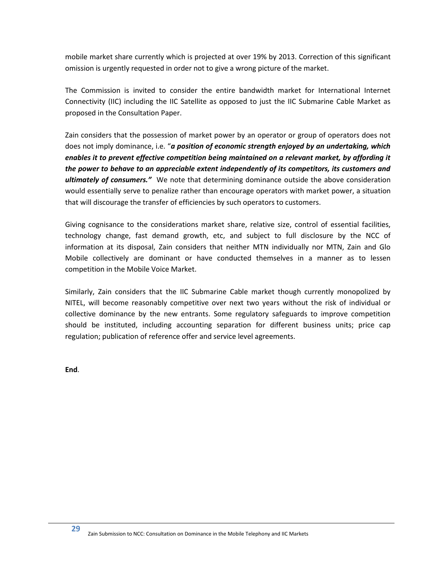mobile market share currently which is projected at over 19% by 2013. Correction of this significant omission is urgently requested in order not to give a wrong picture of the market.

The Commission is invited to consider the entire bandwidth market for International Internet Connectivity (IIC) including the IIC Satellite as opposed to just the IIC Submarine Cable Market as proposed in the Consultation Paper.

Zain considers that the possession of market power by an operator or group of operators does not does not imply dominance, i.e. "*a position of economic strength enjoyed by an undertaking, which enables it to prevent effective competition being maintained on a relevant market, by affording it the power to behave to an appreciable extent independently of its competitors, its customers and ultimately of consumers."* We note that determining dominance outside the above consideration would essentially serve to penalize rather than encourage operators with market power, a situation that will discourage the transfer of efficiencies by such operators to customers.

Giving cognisance to the considerations market share, relative size, control of essential facilities, technology change, fast demand growth, etc, and subject to full disclosure by the NCC of information at its disposal, Zain considers that neither MTN individually nor MTN, Zain and Glo Mobile collectively are dominant or have conducted themselves in a manner as to lessen competition in the Mobile Voice Market.

Similarly, Zain considers that the IIC Submarine Cable market though currently monopolized by NITEL, will become reasonably competitive over next two years without the risk of individual or collective dominance by the new entrants. Some regulatory safeguards to improve competition should be instituted, including accounting separation for different business units; price cap regulation; publication of reference offer and service level agreements.

**End**.

**29**